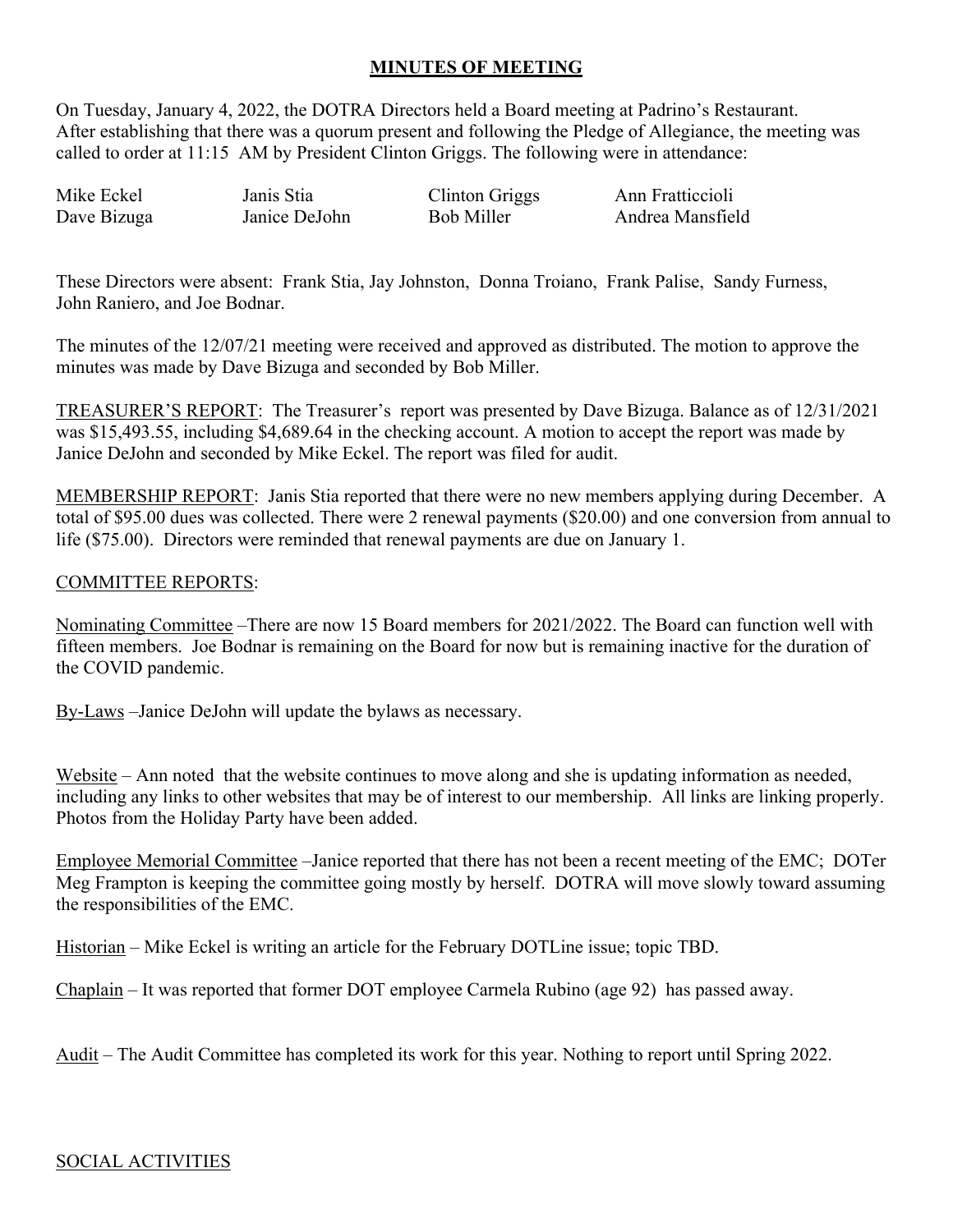## **MINUTES OF MEETING**

On Tuesday, January 4, 2022, the DOTRA Directors held a Board meeting at Padrino's Restaurant. After establishing that there was a quorum present and following the Pledge of Allegiance, the meeting was called to order at 11:15 AM by President Clinton Griggs. The following were in attendance:

Mike Eckel Janis Stia Clinton Griggs Ann Fratticcioli Dave Bizuga Janice DeJohn

Andrea Mansfield

These Directors were absent: Frank Stia, Jay Johnston, Donna Troiano, Frank Palise, Sandy Furness, John Raniero, and Joe Bodnar.

The minutes of the 12/07/21 meeting were received and approved as distributed. The motion to approve the minutes was made by Dave Bizuga and seconded by Bob Miller.

TREASURER'S REPORT: The Treasurer's report was presented by Dave Bizuga. Balance as of 12/31/2021 was \$15,493.55, including \$4,689.64 in the checking account. A motion to accept the report was made by Janice DeJohn and seconded by Mike Eckel. The report was filed for audit.

MEMBERSHIP REPORT: Janis Stia reported that there were no new members applying during December. A total of \$95.00 dues was collected. There were 2 renewal payments (\$20.00) and one conversion from annual to life (\$75.00). Directors were reminded that renewal payments are due on January 1.

## COMMITTEE REPORTS:

Nominating Committee –There are now 15 Board members for 2021/2022. The Board can function well with fifteen members. Joe Bodnar is remaining on the Board for now but is remaining inactive for the duration of the COVID pandemic.

By-Laws –Janice DeJohn will update the bylaws as necessary.

Website – Ann noted that the website continues to move along and she is updating information as needed, including any links to other websites that may be of interest to our membership. All links are linking properly. Photos from the Holiday Party have been added.

Employee Memorial Committee –Janice reported that there has not been a recent meeting of the EMC; DOTer Meg Frampton is keeping the committee going mostly by herself. DOTRA will move slowly toward assuming the responsibilities of the EMC.

Historian – Mike Eckel is writing an article for the February DOTLine issue; topic TBD.

Chaplain – It was reported that former DOT employee Carmela Rubino (age 92) has passed away.

Audit – The Audit Committee has completed its work for this year. Nothing to report until Spring 2022.

## SOCIAL ACTIVITIES